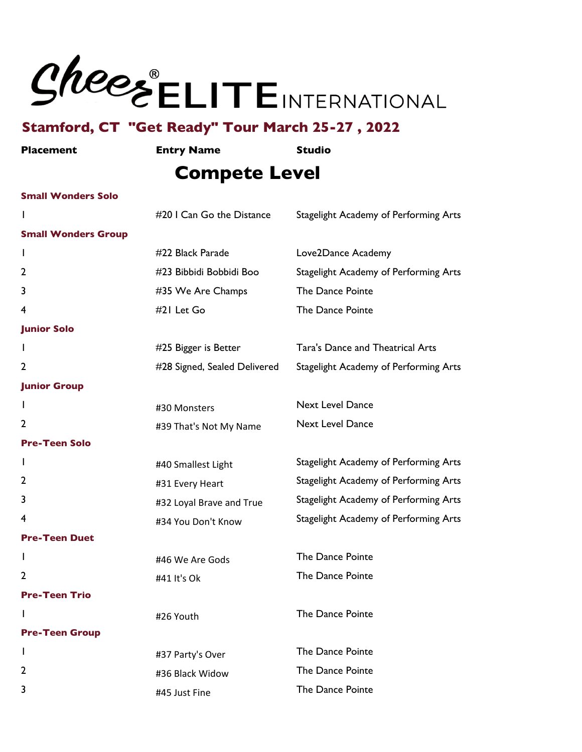

| <b>Placement</b>           | <b>Entry Name</b>            | <b>Studio</b>                           |
|----------------------------|------------------------------|-----------------------------------------|
|                            | <b>Compete Level</b>         |                                         |
| <b>Small Wonders Solo</b>  |                              |                                         |
| I.                         | #20 I Can Go the Distance    | Stagelight Academy of Performing Arts   |
| <b>Small Wonders Group</b> |                              |                                         |
|                            | #22 Black Parade             | Love2Dance Academy                      |
| 2                          | #23 Bibbidi Bobbidi Boo      | Stagelight Academy of Performing Arts   |
| 3                          | #35 We Are Champs            | The Dance Pointe                        |
| 4                          | #21 Let Go                   | The Dance Pointe                        |
| <b>Junior Solo</b>         |                              |                                         |
|                            | #25 Bigger is Better         | <b>Tara's Dance and Theatrical Arts</b> |
| 2                          | #28 Signed, Sealed Delivered | Stagelight Academy of Performing Arts   |
| <b>Junior Group</b>        |                              |                                         |
|                            | #30 Monsters                 | <b>Next Level Dance</b>                 |
| 2                          | #39 That's Not My Name       | <b>Next Level Dance</b>                 |
| <b>Pre-Teen Solo</b>       |                              |                                         |
| L                          | #40 Smallest Light           | Stagelight Academy of Performing Arts   |
| 2                          | #31 Every Heart              | Stagelight Academy of Performing Arts   |
| 3                          | #32 Loyal Brave and True     | Stagelight Academy of Performing Arts   |
| 4                          | #34 You Don't Know           | Stagelight Academy of Performing Arts   |
| <b>Pre-Teen Duet</b>       |                              |                                         |
|                            | #46 We Are Gods              | The Dance Pointe                        |
| 2                          | #41 It's Ok                  | The Dance Pointe                        |
| <b>Pre-Teen Trio</b>       |                              |                                         |
|                            | #26 Youth                    | The Dance Pointe                        |
| <b>Pre-Teen Group</b>      |                              |                                         |
|                            | #37 Party's Over             | The Dance Pointe                        |
| 2                          | #36 Black Widow              | The Dance Pointe                        |
| 3                          | #45 Just Fine                | The Dance Pointe                        |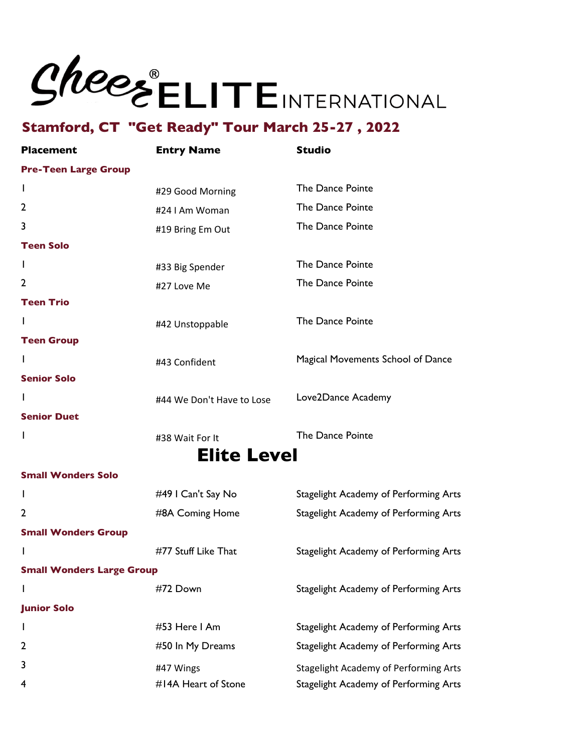

| <b>Placement</b>                 | <b>Entry Name</b>         | <b>Studio</b>                                |
|----------------------------------|---------------------------|----------------------------------------------|
| <b>Pre-Teen Large Group</b>      |                           |                                              |
| I.                               | #29 Good Morning          | The Dance Pointe                             |
| 2                                | #24 I Am Woman            | The Dance Pointe                             |
| 3                                | #19 Bring Em Out          | The Dance Pointe                             |
| <b>Teen Solo</b>                 |                           |                                              |
| J.                               | #33 Big Spender           | The Dance Pointe                             |
| $\mathbf{2}$                     | #27 Love Me               | The Dance Pointe                             |
| <b>Teen Trio</b>                 |                           |                                              |
| I                                | #42 Unstoppable           | The Dance Pointe                             |
| <b>Teen Group</b>                |                           |                                              |
| L                                | #43 Confident             | Magical Movements School of Dance            |
| <b>Senior Solo</b>               |                           |                                              |
| I                                | #44 We Don't Have to Lose | Love2Dance Academy                           |
| <b>Senior Duet</b>               |                           |                                              |
| I                                | #38 Wait For It           | The Dance Pointe                             |
|                                  | <b>Elite Level</b>        |                                              |
| <b>Small Wonders Solo</b>        |                           |                                              |
| I                                | #49 I Can't Say No        | Stagelight Academy of Performing Arts        |
| 2                                | #8A Coming Home           | Stagelight Academy of Performing Arts        |
| <b>Small Wonders Group</b>       |                           |                                              |
| I                                | #77 Stuff Like That       | Stagelight Academy of Performing Arts        |
| <b>Small Wonders Large Group</b> |                           |                                              |
| I                                | #72 Down                  | Stagelight Academy of Performing Arts        |
| <b>Junior Solo</b>               |                           |                                              |
| I                                | #53 Here I Am             | Stagelight Academy of Performing Arts        |
| $\mathbf{2}$                     | #50 In My Dreams          | Stagelight Academy of Performing Arts        |
| 3                                | #47 Wings                 | <b>Stagelight Academy of Performing Arts</b> |
| 4                                | #14A Heart of Stone       | Stagelight Academy of Performing Arts        |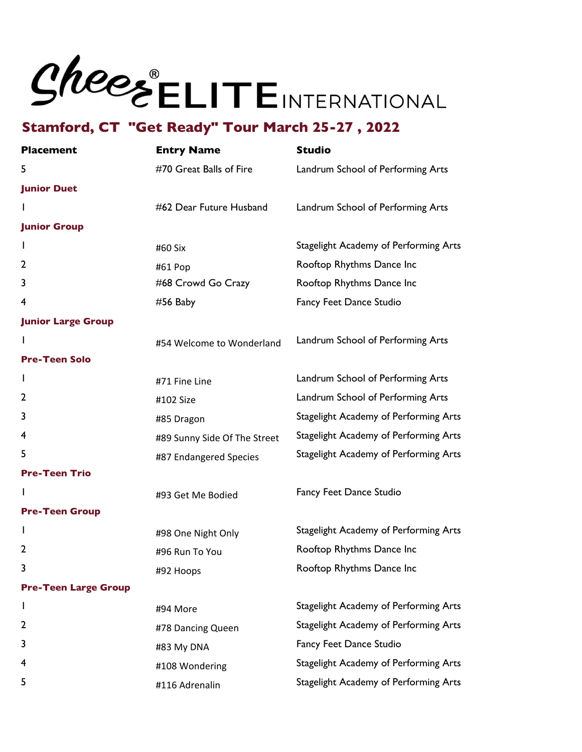### Shees ELITEINTERNATIONAL

| <b>Placement</b>            | <b>Entry Name</b>            | <b>Studio</b>                         |
|-----------------------------|------------------------------|---------------------------------------|
| 5                           | #70 Great Balls of Fire      | Landrum School of Performing Arts     |
| <b>Junior Duet</b>          |                              |                                       |
|                             | #62 Dear Future Husband      | Landrum School of Performing Arts     |
| <b>Junior Group</b>         |                              |                                       |
| L                           | #60 Six                      | Stagelight Academy of Performing Arts |
| $\overline{2}$              | #61 Pop                      | Rooftop Rhythms Dance Inc             |
| 3                           | #68 Crowd Go Crazy           | Rooftop Rhythms Dance Inc             |
| 4                           | $#56$ Baby                   | Fancy Feet Dance Studio               |
| <b>Junior Large Group</b>   |                              |                                       |
|                             | #54 Welcome to Wonderland    | Landrum School of Performing Arts     |
| <b>Pre-Teen Solo</b>        |                              |                                       |
|                             | #71 Fine Line                | Landrum School of Performing Arts     |
| 2                           | #102 Size                    | Landrum School of Performing Arts     |
| 3                           | #85 Dragon                   | Stagelight Academy of Performing Arts |
| 4                           | #89 Sunny Side Of The Street | Stagelight Academy of Performing Arts |
| 5                           | #87 Endangered Species       | Stagelight Academy of Performing Arts |
| <b>Pre-Teen Trio</b>        |                              |                                       |
|                             | #93 Get Me Bodied            | Fancy Feet Dance Studio               |
| <b>Pre-Teen Group</b>       |                              |                                       |
| L                           | #98 One Night Only           | Stagelight Academy of Performing Arts |
| 2                           | #96 Run To You               | Rooftop Rhythms Dance Inc             |
|                             | #92 Hoops                    | Rooftop Rhythms Dance Inc             |
| <b>Pre-Teen Large Group</b> |                              |                                       |
| L                           | #94 More                     | Stagelight Academy of Performing Arts |
| 2                           | #78 Dancing Queen            | Stagelight Academy of Performing Arts |
| 3                           | #83 My DNA                   | Fancy Feet Dance Studio               |
| 4                           | #108 Wondering               | Stagelight Academy of Performing Arts |
| 5                           | #116 Adrenalin               | Stagelight Academy of Performing Arts |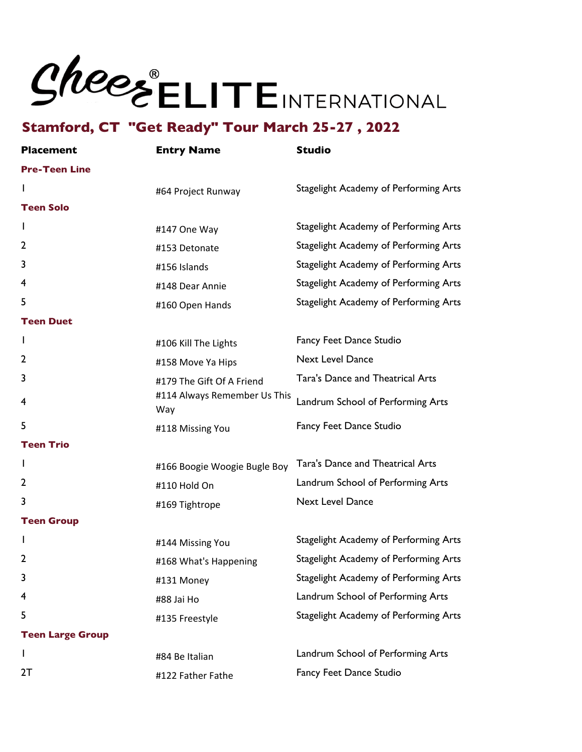### Shees ELITEINTERNATIONAL

| <b>Placement</b>        | <b>Entry Name</b>                   | <b>Studio</b>                         |
|-------------------------|-------------------------------------|---------------------------------------|
| <b>Pre-Teen Line</b>    |                                     |                                       |
|                         | #64 Project Runway                  | Stagelight Academy of Performing Arts |
| <b>Teen Solo</b>        |                                     |                                       |
| I                       | #147 One Way                        | Stagelight Academy of Performing Arts |
| 2                       | #153 Detonate                       | Stagelight Academy of Performing Arts |
| 3                       | #156 Islands                        | Stagelight Academy of Performing Arts |
| 4                       | #148 Dear Annie                     | Stagelight Academy of Performing Arts |
| 5                       | #160 Open Hands                     | Stagelight Academy of Performing Arts |
| <b>Teen Duet</b>        |                                     |                                       |
| L                       | #106 Kill The Lights                | Fancy Feet Dance Studio               |
| 2                       | #158 Move Ya Hips                   | <b>Next Level Dance</b>               |
| 3                       | #179 The Gift Of A Friend           | Tara's Dance and Theatrical Arts      |
| 4                       | #114 Always Remember Us This<br>Way | Landrum School of Performing Arts     |
| 5                       | #118 Missing You                    | Fancy Feet Dance Studio               |
| <b>Teen Trio</b>        |                                     |                                       |
| I                       | #166 Boogie Woogie Bugle Boy        | Tara's Dance and Theatrical Arts      |
| 2                       | #110 Hold On                        | Landrum School of Performing Arts     |
| 3                       | #169 Tightrope                      | <b>Next Level Dance</b>               |
| <b>Teen Group</b>       |                                     |                                       |
|                         | #144 Missing You                    | Stagelight Academy of Performing Arts |
| 2                       | #168 What's Happening               | Stagelight Academy of Performing Arts |
| 3                       | #131 Money                          | Stagelight Academy of Performing Arts |
| 4                       | #88 Jai Ho                          | Landrum School of Performing Arts     |
| 5                       | #135 Freestyle                      | Stagelight Academy of Performing Arts |
| <b>Teen Large Group</b> |                                     |                                       |
| $\mathbf{I}$            | #84 Be Italian                      | Landrum School of Performing Arts     |
| 2T                      | #122 Father Fathe                   | Fancy Feet Dance Studio               |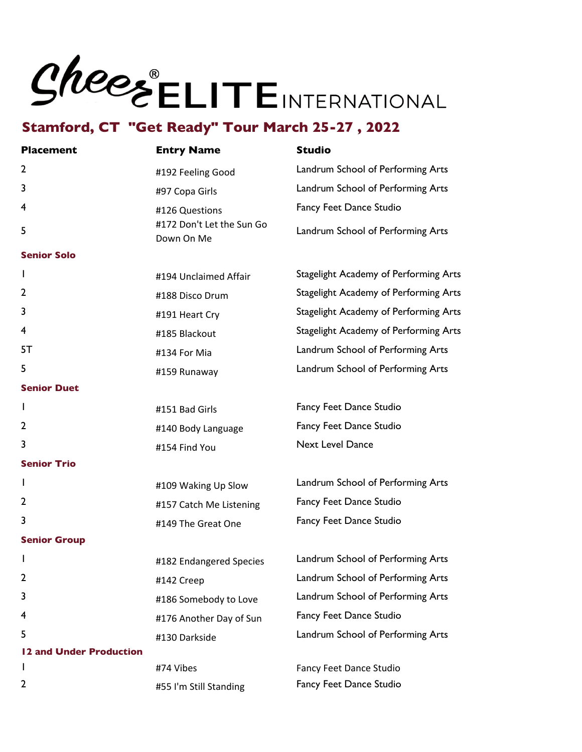## Shees ELITEINTERNATIONAL

| <b>Placement</b>        | <b>Entry Name</b>                       | <b>Studio</b>                         |
|-------------------------|-----------------------------------------|---------------------------------------|
| $\mathbf{2}$            | #192 Feeling Good                       | Landrum School of Performing Arts     |
| 3                       | #97 Copa Girls                          | Landrum School of Performing Arts     |
| 4                       | #126 Questions                          | Fancy Feet Dance Studio               |
| 5                       | #172 Don't Let the Sun Go<br>Down On Me | Landrum School of Performing Arts     |
| <b>Senior Solo</b>      |                                         |                                       |
| T                       | #194 Unclaimed Affair                   | Stagelight Academy of Performing Arts |
| $\mathbf{2}$            | #188 Disco Drum                         | Stagelight Academy of Performing Arts |
| 3                       | #191 Heart Cry                          | Stagelight Academy of Performing Arts |
| 4                       | #185 Blackout                           | Stagelight Academy of Performing Arts |
| 5T                      | #134 For Mia                            | Landrum School of Performing Arts     |
| 5                       | #159 Runaway                            | Landrum School of Performing Arts     |
| <b>Senior Duet</b>      |                                         |                                       |
| I                       | #151 Bad Girls                          | Fancy Feet Dance Studio               |
| $\mathbf{2}$            | #140 Body Language                      | Fancy Feet Dance Studio               |
| 3                       | #154 Find You                           | <b>Next Level Dance</b>               |
| <b>Senior Trio</b>      |                                         |                                       |
| L                       | #109 Waking Up Slow                     | Landrum School of Performing Arts     |
| $\mathbf{2}$            | #157 Catch Me Listening                 | Fancy Feet Dance Studio               |
| 3                       | #149 The Great One                      | Fancy Feet Dance Studio               |
| <b>Senior Group</b>     |                                         |                                       |
| I                       | #182 Endangered Species                 | Landrum School of Performing Arts     |
| $\mathbf{2}$            | #142 Creep                              | Landrum School of Performing Arts     |
| 3                       | #186 Somebody to Love                   | Landrum School of Performing Arts     |
| 4                       | #176 Another Day of Sun                 | Fancy Feet Dance Studio               |
| 5                       | #130 Darkside                           | Landrum School of Performing Arts     |
| 12 and Under Production |                                         |                                       |
| I.                      | #74 Vibes                               | Fancy Feet Dance Studio               |
| 2                       | #55 I'm Still Standing                  | Fancy Feet Dance Studio               |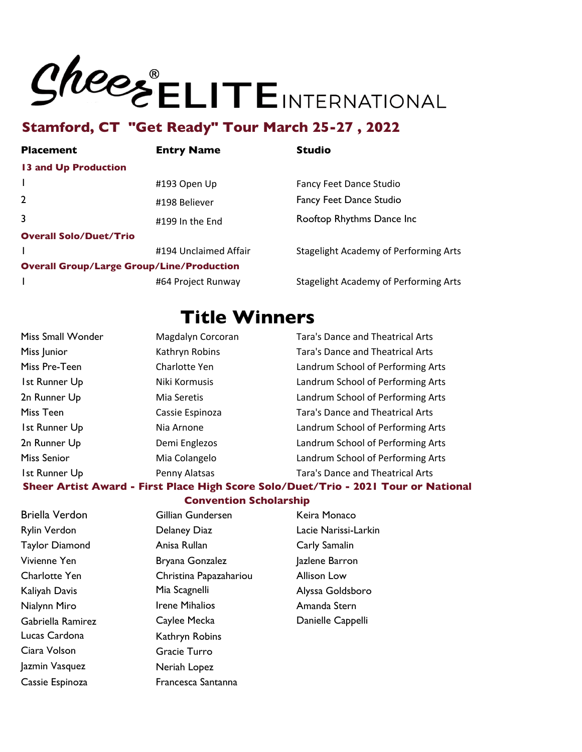# **SHEELITE INTERNATIONAL**<br>Stamford, CT "Get Ready" Tour March 25-27, 2022

| <b>Placement</b>                                 | <b>Entry Name</b>     | <b>Studio</b>                                |
|--------------------------------------------------|-----------------------|----------------------------------------------|
| <b>13 and Up Production</b>                      |                       |                                              |
|                                                  | #193 Open Up          | <b>Fancy Feet Dance Studio</b>               |
| $\overline{2}$                                   | #198 Believer         | <b>Fancy Feet Dance Studio</b>               |
| $\overline{3}$                                   | #199 In the End       | Rooftop Rhythms Dance Inc                    |
| <b>Overall Solo/Duet/Trio</b>                    |                       |                                              |
|                                                  | #194 Unclaimed Affair | <b>Stagelight Academy of Performing Arts</b> |
| <b>Overall Group/Large Group/Line/Production</b> |                       |                                              |
|                                                  | #64 Project Runway    | <b>Stagelight Academy of Performing Arts</b> |

### **Title Winners**

| Miss Small Wonder                                                                  | Magdalyn Corcoran | <b>Tara's Dance and Theatrical Arts</b> |
|------------------------------------------------------------------------------------|-------------------|-----------------------------------------|
| Miss Junior                                                                        | Kathryn Robins    | <b>Tara's Dance and Theatrical Arts</b> |
| Miss Pre-Teen                                                                      | Charlotte Yen     | Landrum School of Performing Arts       |
| Ist Runner Up                                                                      | Niki Kormusis     | Landrum School of Performing Arts       |
| 2n Runner Up                                                                       | Mia Seretis       | Landrum School of Performing Arts       |
| Miss Teen                                                                          | Cassie Espinoza   | <b>Tara's Dance and Theatrical Arts</b> |
| 1st Runner Up                                                                      | Nia Arnone        | Landrum School of Performing Arts       |
| 2n Runner Up                                                                       | Demi Englezos     | Landrum School of Performing Arts       |
| Miss Senior                                                                        | Mia Colangelo     | Landrum School of Performing Arts       |
| 1st Runner Up                                                                      | Penny Alatsas     | Tara's Dance and Theatrical Arts        |
| Sheer Artist Award - First Place High Score Solo/Duet/Trio - 2021 Tour or National |                   |                                         |

#### **Convention Scholarship**

Lucas Cardona Kathryn Robins Ciara Volson Gracie Turro Jazmin Vasquez Neriah Lopez Cassie Espinoza **Francesca Santanna** 

Briella Verdon Gillian Gundersen Keira Monaco Rylin Verdon Delaney Diaz Lacie Narissi-Larkin Taylor Diamond **Anisa Rullan** Carly Samalin Vivienne Yen **Bryana Gonzalez** Jazlene Barron Charlotte Yen Christina Papazahariou Allison Low Kaliyah Davis Mia Scagnelli Alyssa Goldsboro Nialynn Miro **Irene Mihalios** Amanda Stern Gabriella Ramirez Caylee Mecka Danielle Cappelli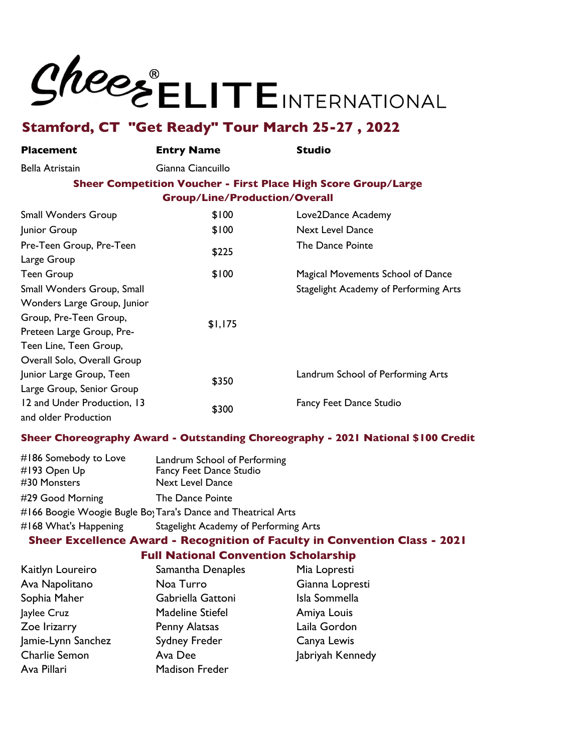

| <b>Placement</b>            | <b>Entry Name</b>                    | <b>Studio</b>                                                  |
|-----------------------------|--------------------------------------|----------------------------------------------------------------|
| Bella Atristain             | Gianna Ciancuillo                    |                                                                |
|                             |                                      | Sheer Competition Voucher - First Place High Score Group/Large |
|                             | <b>Group/Line/Production/Overall</b> |                                                                |
| <b>Small Wonders Group</b>  | \$100                                | Love2Dance Academy                                             |
| Junior Group                | \$100                                | <b>Next Level Dance</b>                                        |
| Pre-Teen Group, Pre-Teen    |                                      | The Dance Pointe                                               |
| Large Group                 | \$225                                |                                                                |
| <b>Teen Group</b>           | \$100                                | Magical Movements School of Dance                              |
| Small Wonders Group, Small  |                                      | Stagelight Academy of Performing Arts                          |
| Wonders Large Group, Junior |                                      |                                                                |
| Group, Pre-Teen Group,      |                                      |                                                                |
| Preteen Large Group, Pre-   | \$1,175                              |                                                                |
| Teen Line, Teen Group,      |                                      |                                                                |
| Overall Solo, Overall Group |                                      |                                                                |
| Junior Large Group, Teen    |                                      | Landrum School of Performing Arts                              |
| Large Group, Senior Group   | \$350                                |                                                                |
| 12 and Under Production, 13 |                                      | <b>Fancy Feet Dance Studio</b>                                 |
| and older Production        | \$300                                |                                                                |

#### **Sheer Choreography Award - Outstanding Choreography - 2021 National \$100 Credit**

| #186 Somebody to Love<br>#193 Open Up | Landrum School of Performing<br>Fancy Feet Dance Studio       |
|---------------------------------------|---------------------------------------------------------------|
| #30 Monsters                          | <b>Next Level Dance</b>                                       |
| #29 Good Morning                      | The Dance Pointe                                              |
|                                       | #166 Boogie Woogie Bugle Bo; Tara's Dance and Theatrical Arts |
| #168 What's Happening                 | Stagelight Academy of Performing Arts                         |

#### **Sheer Excellence Award - Recognition of Faculty in Convention Class - 2021**

#### **Full National Convention Scholarship**

| Kaitlyn Loureiro     | Samantha Denaples       | Mia Lopresti     |
|----------------------|-------------------------|------------------|
| Ava Napolitano       | Noa Turro               | Gianna Lopresti  |
| Sophia Maher         | Gabriella Gattoni       | Isla Sommella    |
| Jaylee Cruz          | <b>Madeline Stiefel</b> | Amiya Louis      |
| Zoe Irizarry         | Penny Alatsas           | Laila Gordon     |
| Jamie-Lynn Sanchez   | Sydney Freder           | Canya Lewis      |
| <b>Charlie Semon</b> | Ava Dee                 | Jabriyah Kennedy |
| Ava Pillari          | <b>Madison Freder</b>   |                  |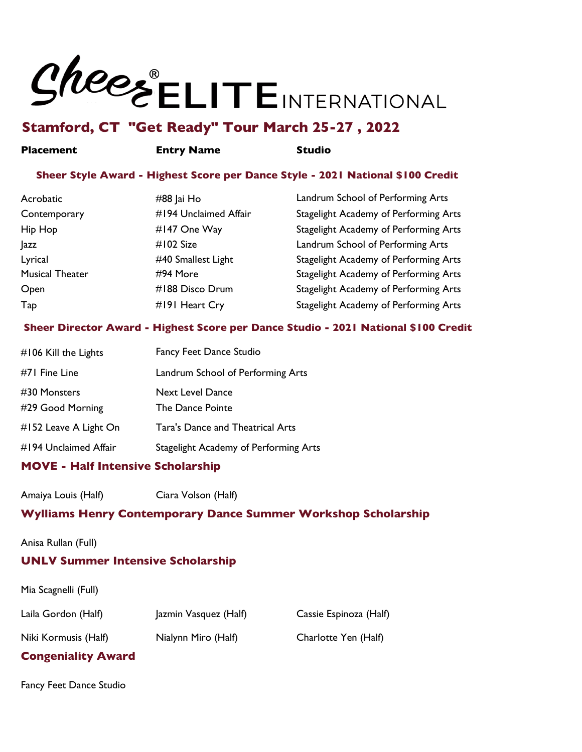

#### **Placement Entry Name Studio**

#### **Sheer Style Award - Highest Score per Dance Style - 2021 National \$100 Credit**

| Acrobatic              | #88 Jai Ho            | Landrum School of Performing Arts     |
|------------------------|-----------------------|---------------------------------------|
| Contemporary           | #194 Unclaimed Affair | Stagelight Academy of Performing Arts |
| Hip Hop                | #147 One Way          | Stagelight Academy of Performing Arts |
| <b>azz</b>             | #102 Size             | Landrum School of Performing Arts     |
| Lyrical                | #40 Smallest Light    | Stagelight Academy of Performing Arts |
| <b>Musical Theater</b> | #94 More              | Stagelight Academy of Performing Arts |
| Open                   | #188 Disco Drum       | Stagelight Academy of Performing Arts |
| Tap                    | #191 Heart Cry        | Stagelight Academy of Performing Arts |

#### **Sheer Director Award - Highest Score per Dance Studio - 2021 National \$100 Credit**

| #106 Kill the Lights             | <b>Fancy Feet Dance Studio</b>              |
|----------------------------------|---------------------------------------------|
| #71 Fine Line                    | Landrum School of Performing Arts           |
| #30 Monsters<br>#29 Good Morning | <b>Next Level Dance</b><br>The Dance Pointe |
| #152 Leave A Light On            | Tara's Dance and Theatrical Arts            |
| #194 Unclaimed Affair            | Stagelight Academy of Performing Arts       |

#### **MOVE - Half Intensive Scholarship**

Amaiya Louis (Half) Ciara Volson (Half)

#### **Wylliams Henry Contemporary Dance Summer Workshop Scholarship**

Anisa Rullan (Full)

#### **UNLV Summer Intensive Scholarship**

Mia Scagnelli (Full)

| Laila Gordon (Half)  | Jazmin Vasquez (Half) | Cassie Espinoza (Half) |
|----------------------|-----------------------|------------------------|
| Niki Kormusis (Half) | Nialynn Miro (Half)   | Charlotte Yen (Half)   |

#### **Congeniality Award**

Fancy Feet Dance Studio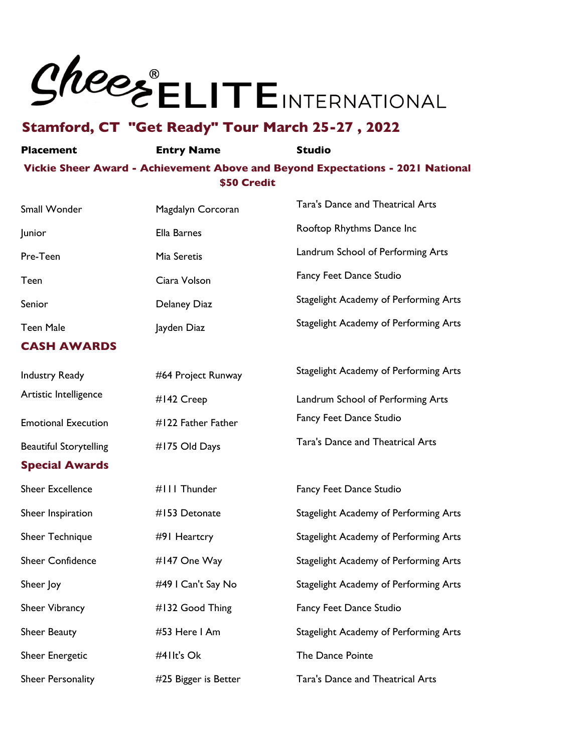

#### **Placement Entry Name Studio Vickie Sheer Award - Achievement Above and Beyond Expectations - 2021 National \$50 Credit**

| Small Wonder                  | Magdalyn Corcoran    | <b>Tara's Dance and Theatrical Arts</b> |
|-------------------------------|----------------------|-----------------------------------------|
| Junior                        | Ella Barnes          | Rooftop Rhythms Dance Inc               |
| Pre-Teen                      | Mia Seretis          | Landrum School of Performing Arts       |
| Teen                          | Ciara Volson         | Fancy Feet Dance Studio                 |
| Senior                        | Delaney Diaz         | Stagelight Academy of Performing Arts   |
| <b>Teen Male</b>              | Jayden Diaz          | Stagelight Academy of Performing Arts   |
| <b>CASH AWARDS</b>            |                      |                                         |
| <b>Industry Ready</b>         | #64 Project Runway   | Stagelight Academy of Performing Arts   |
| Artistic Intelligence         | #142 Creep           | Landrum School of Performing Arts       |
| <b>Emotional Execution</b>    | #122 Father Father   | Fancy Feet Dance Studio                 |
| <b>Beautiful Storytelling</b> | #175 Old Days        | Tara's Dance and Theatrical Arts        |
| <b>Special Awards</b>         |                      |                                         |
| <b>Sheer Excellence</b>       | #III Thunder         | Fancy Feet Dance Studio                 |
| Sheer Inspiration             | #153 Detonate        | Stagelight Academy of Performing Arts   |
| Sheer Technique               | #91 Heartcry         | Stagelight Academy of Performing Arts   |
| <b>Sheer Confidence</b>       | #147 One Way         | Stagelight Academy of Performing Arts   |
| Sheer Joy                     | #49   Can't Say No   | Stagelight Academy of Performing Arts   |
| Sheer Vibrancy                | #132 Good Thing      | Fancy Feet Dance Studio                 |
| Sheer Beauty                  | #53 Here I Am        | Stagelight Academy of Performing Arts   |
| Sheer Energetic               | #41It's Ok           | The Dance Pointe                        |
| Sheer Personality             | #25 Bigger is Better | <b>Tara's Dance and Theatrical Arts</b> |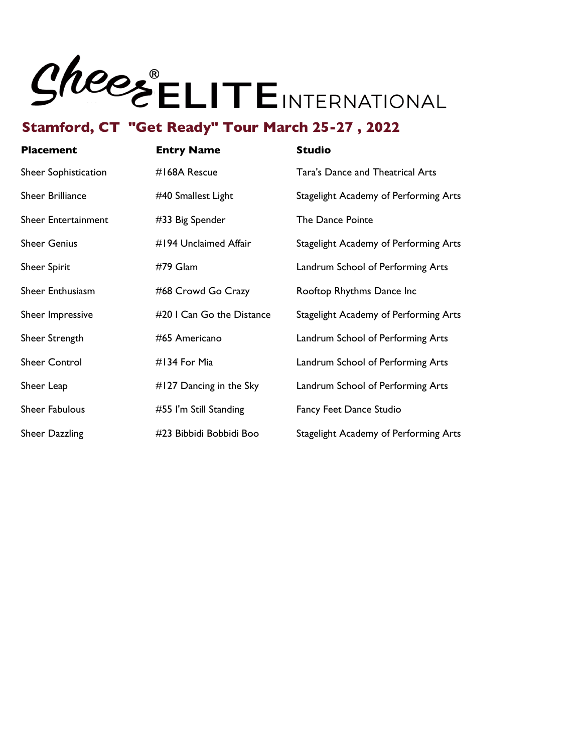

| <b>Placement</b>      | <b>Entry Name</b>         | <b>Studio</b>                           |
|-----------------------|---------------------------|-----------------------------------------|
| Sheer Sophistication  | #168A Rescue              | <b>Tara's Dance and Theatrical Arts</b> |
| Sheer Brilliance      | #40 Smallest Light        | Stagelight Academy of Performing Arts   |
| Sheer Entertainment   | #33 Big Spender           | The Dance Pointe                        |
| <b>Sheer Genius</b>   | #194 Unclaimed Affair     | Stagelight Academy of Performing Arts   |
| <b>Sheer Spirit</b>   | #79 Glam                  | Landrum School of Performing Arts       |
| Sheer Enthusiasm      | #68 Crowd Go Crazy        | Rooftop Rhythms Dance Inc               |
| Sheer Impressive      | #20 I Can Go the Distance | Stagelight Academy of Performing Arts   |
| Sheer Strength        | #65 Americano             | Landrum School of Performing Arts       |
| <b>Sheer Control</b>  | #134 For Mia              | Landrum School of Performing Arts       |
| Sheer Leap            | #127 Dancing in the Sky   | Landrum School of Performing Arts       |
| <b>Sheer Fabulous</b> | #55 I'm Still Standing    | <b>Fancy Feet Dance Studio</b>          |
| Sheer Dazzling        | #23 Bibbidi Bobbidi Boo   | Stagelight Academy of Performing Arts   |